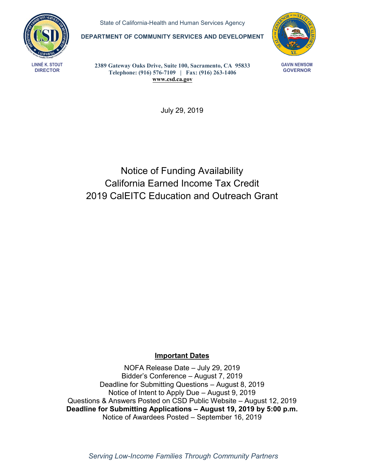

State of California-Health and Human Services Agency

**DEPARTMENT OF COMMUNITY SERVICES AND DEVELOPMENT** 



**GAVIN NEWSOM GOVERNOR** 

**LINNÉ K . STOUT DIRECTOR** 

**2389 Gateway Oaks Drive, Suite 100, Sacramento, CA 95833 Telephone: (916) 576-7109 | Fax: (916) 263-1406 [www.csd.ca.gov](http://www.csd.ca.gov)** 

July 29, 2019

# Notice of Funding Availability California Earned Income Tax Credit 2019 CalEITC Education and Outreach Grant

## **Important Dates**

NOFA Release Date – July 29, 2019 Bidder's Conference – August 7, 2019 Deadline for Submitting Questions – August 8, 2019 Notice of Intent to Apply Due – August 9, 2019 Questions & Answers Posted on CSD Public Website – August 12, 2019 **Deadline for Submitting Applications – August 19, 2019 by 5:00 p.m.**  Notice of Awardees Posted – September 16, 2019

*Serving Low-Income Families Through Community Partners*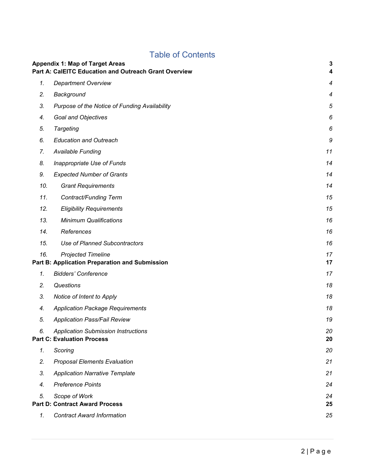## Table of Contents

|     | <b>Appendix 1: Map of Target Areas</b><br>Part A: CalEITC Education and Outreach Grant Overview | $\mathbf 3$<br>4 |
|-----|-------------------------------------------------------------------------------------------------|------------------|
| 1.  | <b>Department Overview</b>                                                                      | $\boldsymbol{4}$ |
| 2.  | Background                                                                                      | $\overline{4}$   |
| 3.  | Purpose of the Notice of Funding Availability                                                   | $\sqrt{5}$       |
| 4.  | Goal and Objectives                                                                             | 6                |
| 5.  | <b>Targeting</b>                                                                                | 6                |
| 6.  | <b>Education and Outreach</b>                                                                   | 9                |
| 7.  | Available Funding                                                                               | 11               |
| 8.  | Inappropriate Use of Funds                                                                      | 14               |
| 9.  | <b>Expected Number of Grants</b>                                                                | 14               |
| 10. | <b>Grant Requirements</b>                                                                       | 14               |
| 11. | Contract/Funding Term                                                                           | 15               |
| 12. | <b>Eligibility Requirements</b>                                                                 | 15               |
| 13. | <b>Minimum Qualifications</b>                                                                   | 16               |
| 14. | References                                                                                      | 16               |
| 15. | <b>Use of Planned Subcontractors</b>                                                            | 16               |
| 16. | <b>Projected Timeline</b><br>Part B: Application Preparation and Submission                     | 17<br>17         |
| 1.  | <b>Bidders' Conference</b>                                                                      | 17               |
| 2.  | Questions                                                                                       | 18               |
| 3.  | Notice of Intent to Apply                                                                       | 18               |
| 4.  | <b>Application Package Requirements</b>                                                         | 18               |
| 5.  | <b>Application Pass/Fail Review</b>                                                             | 19               |
| 6.  | <b>Application Submission Instructions</b><br><b>Part C: Evaluation Process</b>                 | 20<br>20         |
| 1.  | Scoring                                                                                         | 20               |
| 2.  | <b>Proposal Elements Evaluation</b>                                                             | 21               |
| 3.  | <b>Application Narrative Template</b>                                                           | 21               |
| 4.  | <b>Preference Points</b>                                                                        | 24               |
| 5.  | Scope of Work<br><b>Part D: Contract Award Process</b>                                          | 24<br>25         |
| 1.  | <b>Contract Award Information</b>                                                               | 25               |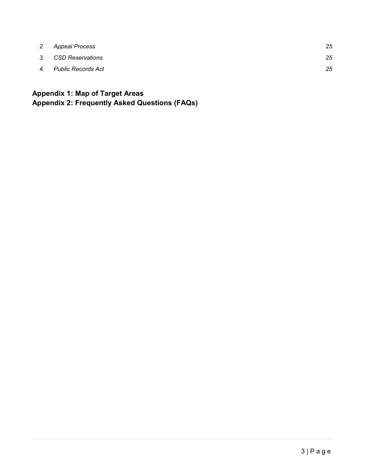<span id="page-2-0"></span>

| 2. Appeal Process     | 25 |
|-----------------------|----|
| 3. CSD Reservations   | 25 |
| 4. Public Records Act | 25 |

## **Appendix 1: Map of Target Areas Appendix 2: Frequently Asked Questions (FAQs)**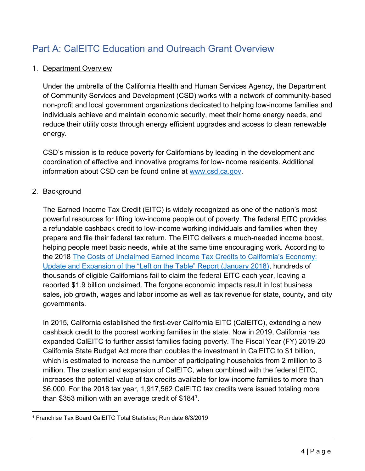# <span id="page-3-0"></span>Part A: CalEITC Education and Outreach Grant Overview

## 1. Department Overview

 reduce their utility costs through energy efficient upgrades and access to clean renewable Under the umbrella of the California Health and Human Services Agency, the Department of Community Services and Development (CSD) works with a network of community-based non-profit and local government organizations dedicated to helping low-income families and individuals achieve and maintain economic security, meet their home energy needs, and energy.

 coordination of effective and innovative programs for low-income residents. Additional information about CSD can be found online at [www.csd.ca.gov.](http://www.csd.ca.gov) CSD's mission is to reduce poverty for Californians by leading in the development and

## 2. Background

 The Earned Income Tax Credit (EITC) is widely recognized as one of the nation's most prepare and file their federal tax return. The EITC delivers a much-needed income boost, the 2018 The Costs of Unclaimed Earned Income [Tax Credits to California's Economy:](https://www.csd.ca.gov/Shared%20Documents/2018-Update-Left-on-the-Table-Final-Report.pdf) [Update and Expansion of the "Left on](https://www.csd.ca.gov/Shared%20Documents/2018-Update-Left-on-the-Table-Final-Report.pdf) the Table" Report (January 2018), hundreds of thousands of eligible Californians fail to claim the federal EITC each year, leaving a powerful resources for lifting low-income people out of poverty. The federal EITC provides a refundable cashback credit to low-income working individuals and families when they helping people meet basic needs, while at the same time encouraging work. According to reported \$1.9 billion unclaimed. The forgone economic impacts result in lost business sales, job growth, wages and labor income as well as tax revenue for state, county, and city governments.

 California State Budget Act more than doubles the investment in CalEITC to \$1 billion, which is estimated to increase the number of participating households from 2 million to 3 increases the potential value of tax credits available for low-income families to more than \$6,000. For the 2018 tax year, 1,917,562 CalEITC tax credits were issued totaling more In 2015, California established the first-ever California EITC (CalEITC), extending a new cashback credit to the poorest working families in the state. Now in 2019, California has expanded CalEITC to further assist families facing poverty. The Fiscal Year (FY) 2019-20 million. The creation and expansion of CalEITC, when combined with the federal EITC, than \$353 million with an average credit of \$1841.

 $\overline{a}$ 1 Franchise Tax Board CalEITC Total Statistics; Run date 6/3/2019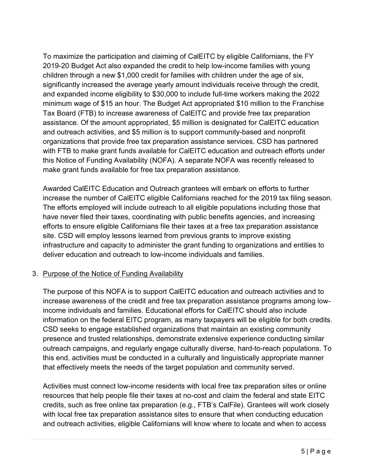<span id="page-4-0"></span> and expanded income eligibility to \$30,000 to include full-time workers making the 2022 minimum wage of \$15 an hour. The Budget Act appropriated \$10 million to the Franchise and outreach activities, and \$5 million is to support community-based and nonprofit this Notice of Funding Availability (NOFA). A separate NOFA was recently released to To maximize the participation and claiming of CalEITC by eligible Californians, the FY 2019-20 Budget Act also expanded the credit to help low-income families with young children through a new \$1,000 credit for families with children under the age of six, significantly increased the average yearly amount individuals receive through the credit, Tax Board (FTB) to increase awareness of CalEITC and provide free tax preparation assistance. Of the amount appropriated, \$5 million is designated for CalEITC education organizations that provide free tax preparation assistance services. CSD has partnered with FTB to make grant funds available for CalEITC education and outreach efforts under make grant funds available for free tax preparation assistance.

 Awarded CalEITC Education and Outreach grantees will embark on efforts to further The efforts employed will include outreach to all eligible populations including those that efforts to ensure eligible Californians file their taxes at a free tax preparation assistance site. CSD will employ lessons learned from previous grants to improve existing increase the number of CalEITC eligible Californians reached for the 2019 tax filing season. have never filed their taxes, coordinating with public benefits agencies, and increasing infrastructure and capacity to administer the grant funding to organizations and entities to deliver education and outreach to low-income individuals and families.

## 3. Purpose of the Notice of Funding Availability

 increase awareness of the credit and free tax preparation assistance programs among low- information on the federal EITC program, as many taxpayers will be eligible for both credits. outreach campaigns, and regularly engage culturally diverse, hard-to-reach populations. To The purpose of this NOFA is to support CalEITC education and outreach activities and to income individuals and families. Educational efforts for CalEITC should also include CSD seeks to engage established organizations that maintain an existing community presence and trusted relationships, demonstrate extensive experience conducting similar this end, activities must be conducted in a culturally and linguistically appropriate manner that effectively meets the needs of the target population and community served.

 and outreach activities, eligible Californians will know where to locate and when to access Activities must connect low-income residents with local free tax preparation sites or online resources that help people file their taxes at no-cost and claim the federal and state EITC credits, such as free online tax preparation (e.g., FTB's CalFile). Grantees will work closely with local free tax preparation assistance sites to ensure that when conducting education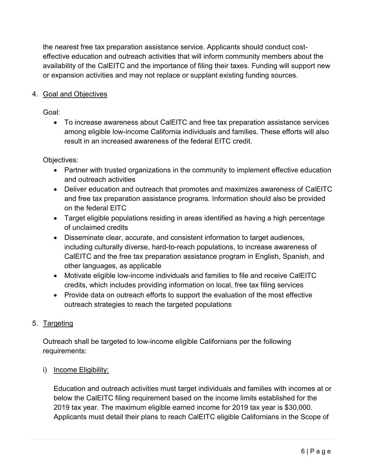<span id="page-5-0"></span>the nearest free tax preparation assistance service. Applicants should conduct costeffective education and outreach activities that will inform community members about the availability of the CalEITC and the importance of filing their taxes. Funding will support new or expansion activities and may not replace or supplant existing funding sources.

## 4. Goal and Objectives

Goal:

 among eligible low-income California individuals and families. These efforts will also result in an increased awareness of the federal EITC credit. • To increase awareness about CalEITC and free tax preparation assistance services

Objectives:

- and outreach activities • Partner with trusted organizations in the community to implement effective education
- • Deliver education and outreach that promotes and maximizes awareness of CalEITC and free tax preparation assistance programs. Information should also be provided on the federal EITC
- Target eligible populations residing in areas identified as having a high percentage of unclaimed credits
- CalEITC and the free tax preparation assistance program in English, Spanish, and • Disseminate clear, accurate, and consistent information to target audiences, including culturally diverse, hard-to-reach populations, to increase awareness of other languages, as applicable
- • Motivate eligible low-income individuals and families to file and receive CalEITC credits, which includes providing information on local, free tax filing services
- Provide data on outreach efforts to support the evaluation of the most effective outreach strategies to reach the targeted populations

## 5. Targeting

 Outreach shall be targeted to low-income eligible Californians per the following requirements:

## i) Income Eligibility:

 below the CalEITC filing requirement based on the income limits established for the Applicants must detail their plans to reach CalEITC eligible Californians in the Scope of Education and outreach activities must target individuals and families with incomes at or 2019 tax year. The maximum eligible earned income for 2019 tax year is \$30,000.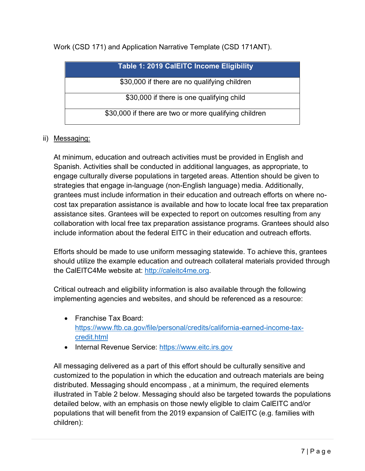Work (CSD 171) and Application Narrative Template (CSD 171ANT).

| <b>Table 1: 2019 CalEITC Income Eligibility</b>       |
|-------------------------------------------------------|
| \$30,000 if there are no qualifying children          |
| \$30,000 if there is one qualifying child             |
| \$30,000 if there are two or more qualifying children |

## ii) Messaging:

 assistance sites. Grantees will be expected to report on outcomes resulting from any At minimum, education and outreach activities must be provided in English and Spanish. Activities shall be conducted in additional languages, as appropriate, to engage culturally diverse populations in targeted areas. Attention should be given to strategies that engage in-language (non-English language) media. Additionally, grantees must include information in their education and outreach efforts on where nocost tax preparation assistance is available and how to locate local free tax preparation collaboration with local free tax preparation assistance programs. Grantees should also include information about the federal EITC in their education and outreach efforts.

 Efforts should be made to use uniform messaging statewide. To achieve this, grantees should utilize the example education and outreach collateral materials provided through the CalEITC4Me website at: [http://caleitc4me.org.](http://caleitc4me.org/)

 Critical outreach and eligibility information is also available through the following implementing agencies and websites, and should be referenced as a resource:

- Franchise Tax Board: [https://www.ftb.ca.gov/file/personal/credits/california-earned-income-tax](https://www.ftb.ca.gov/file/personal/credits/california-earned-income-tax-credit.html)credit.html
- Internal Revenue Service: [https://www.eitc.irs.gov](https://www.eitc.irs.gov/)

 illustrated in Table 2 below. Messaging should also be targeted towards the populations populations that will benefit from the 2019 expansion of CalEITC (e.g. families with All messaging delivered as a part of this effort should be culturally sensitive and customized to the population in which the education and outreach materials are being distributed. Messaging should encompass , at a minimum, the required elements detailed below, with an emphasis on those newly eligible to claim CalEITC and/or children):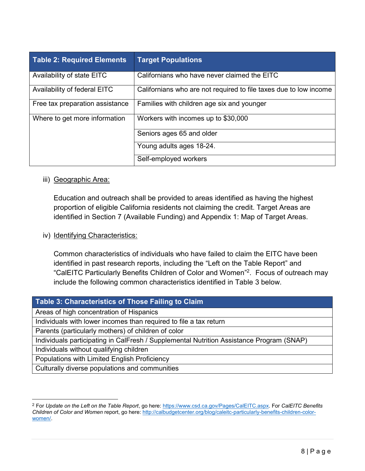| <b>Table 2: Required Elements</b> | <b>Target Populations</b>                                         |
|-----------------------------------|-------------------------------------------------------------------|
| Availability of state EITC        | Californians who have never claimed the EITC                      |
| Availability of federal EITC      | Californians who are not required to file taxes due to low income |
| Free tax preparation assistance   | Families with children age six and younger                        |
| Where to get more information     | Workers with incomes up to \$30,000                               |
|                                   | Seniors ages 65 and older                                         |
|                                   | Young adults ages 18-24.                                          |
|                                   | Self-employed workers                                             |

#### iii) Geographic Area:

 identified in Section 7 (Available Funding) and Appendix 1: Map of Target Areas. Education and outreach shall be provided to areas identified as having the highest proportion of eligible California residents not claiming the credit. Target Areas are

#### iv) Identifying Characteristics:

 "CalEITC Particularly Benefits Children of Color and Women" 2. Focus of outreach may include the following common characteristics identified in Table 3 below. Common characteristics of individuals who have failed to claim the EITC have been identified in past research reports, including the "Left on the Table Report" and

#### **Table 3: Characteristics of Those Failing to Claim**

Areas of high concentration of Hispanics

Individuals with lower incomes than required to file a tax return

Parents (particularly mothers) of children of color

Individuals participating in CalFresh / Supplemental Nutrition Assistance Program (SNAP)

Individuals without qualifying children

 $\overline{a}$ 

Populations with Limited English Proficiency

Culturally diverse populations and communities

 2 For *Update on the Left on the Table Report*, go here: [https://www.csd.ca.gov/Pages/CalEITC.aspx.](https://www.csd.ca.gov/Pages/CalEITC.aspx) For *CalEITC Benefits Children of Color and Women* report, go here: [http://calbudgetcenter.org/blog/caleitc-particularly-benefits-children-color](http://calbudgetcenter.org/blog/caleitc-particularly-benefits-children-color-women/)[women/.](http://calbudgetcenter.org/blog/caleitc-particularly-benefits-children-color-women/)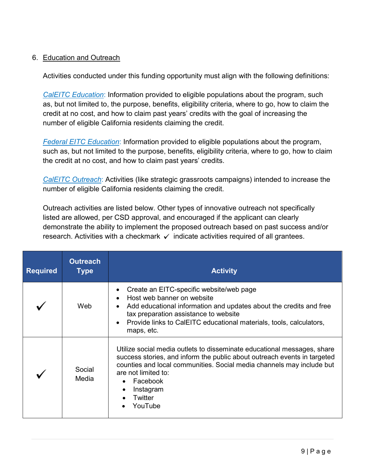### <span id="page-8-0"></span>6. Education and Outreach

Activities conducted under this funding opportunity must align with the following definitions:

 as, but not limited to, the purpose, benefits, eligibility criteria, where to go, how to claim the number of eligible California residents claiming the credit. *CalEITC Education*: Information provided to eligible populations about the program, such credit at no cost, and how to claim past years' credits with the goal of increasing the

 *Federal EITC Education*: Information provided to eligible populations about the program, such as, but not limited to the purpose, benefits, eligibility criteria, where to go, how to claim the credit at no cost, and how to claim past years' credits.

*CalEITC Outreach*: Activities (like strategic grassroots campaigns) intended to increase the number of eligible California residents claiming the credit.

 demonstrate the ability to implement the proposed outreach based on past success and/or research. Activities with a checkmark  $\checkmark$  indicate activities required of all grantees. Outreach activities are listed below. Other types of innovative outreach not specifically listed are allowed, per CSD approval, and encouraged if the applicant can clearly

| <b>Required</b> | <b>Outreach</b><br>Type | <b>Activity</b>                                                                                                                                                                                                                                                                                                   |
|-----------------|-------------------------|-------------------------------------------------------------------------------------------------------------------------------------------------------------------------------------------------------------------------------------------------------------------------------------------------------------------|
|                 | Web                     | Create an EITC-specific website/web page<br>$\bullet$<br>Host web banner on website<br>$\bullet$<br>Add educational information and updates about the credits and free<br>tax preparation assistance to website<br>Provide links to CalEITC educational materials, tools, calculators,<br>$\bullet$<br>maps, etc. |
|                 | Social<br>Media         | Utilize social media outlets to disseminate educational messages, share<br>success stories, and inform the public about outreach events in targeted<br>counties and local communities. Social media channels may include but<br>are not limited to:<br>Facebook<br>$\bullet$<br>Instagram<br>Twitter<br>YouTube   |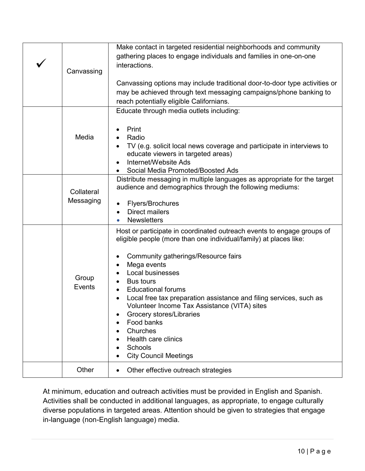| Canvassing              | Make contact in targeted residential neighborhoods and community<br>gathering places to engage individuals and families in one-on-one<br>interactions.<br>Canvassing options may include traditional door-to-door type activities or<br>may be achieved through text messaging campaigns/phone banking to                                                                                                                                                                                                                   |
|-------------------------|-----------------------------------------------------------------------------------------------------------------------------------------------------------------------------------------------------------------------------------------------------------------------------------------------------------------------------------------------------------------------------------------------------------------------------------------------------------------------------------------------------------------------------|
|                         | reach potentially eligible Californians.<br>Educate through media outlets including:                                                                                                                                                                                                                                                                                                                                                                                                                                        |
| Media                   | Print<br>Radio<br>TV (e.g. solicit local news coverage and participate in interviews to<br>educate viewers in targeted areas)<br>Internet/Website Ads<br>Social Media Promoted/Boosted Ads                                                                                                                                                                                                                                                                                                                                  |
| Collateral<br>Messaging | Distribute messaging in multiple languages as appropriate for the target<br>audience and demographics through the following mediums:<br>Flyers/Brochures<br><b>Direct mailers</b><br><b>Newsletters</b>                                                                                                                                                                                                                                                                                                                     |
| Group<br>Events         | Host or participate in coordinated outreach events to engage groups of<br>eligible people (more than one individual/family) at places like:<br>Community gatherings/Resource fairs<br>Mega events<br>Local businesses<br><b>Bus tours</b><br><b>Educational forums</b><br>Local free tax preparation assistance and filing services, such as<br>Volunteer Income Tax Assistance (VITA) sites<br>Grocery stores/Libraries<br>Food banks<br>Churches<br><b>Health care clinics</b><br>Schools<br><b>City Council Meetings</b> |
| Other                   | Other effective outreach strategies                                                                                                                                                                                                                                                                                                                                                                                                                                                                                         |

 At minimum, education and outreach activities must be provided in English and Spanish. Activities shall be conducted in additional languages, as appropriate, to engage culturally diverse populations in targeted areas. Attention should be given to strategies that engage in-language (non-English language) media.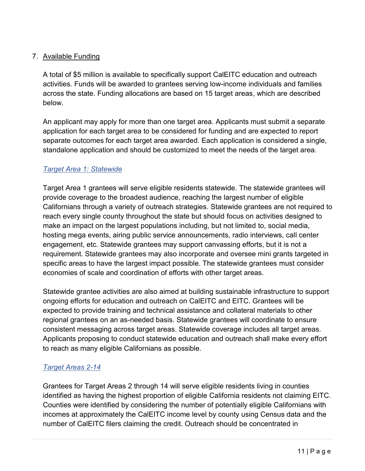## <span id="page-10-0"></span>7. Available Funding

A total of \$5 million is available to specifically support CalEITC education and outreach activities. Funds will be awarded to grantees serving low-income individuals and families across the state. Funding allocations are based on 15 target areas, which are described below.

 separate outcomes for each target area awarded. Each application is considered a single, An applicant may apply for more than one target area. Applicants must submit a separate application for each target area to be considered for funding and are expected to report standalone application and should be customized to meet the needs of the target area.

## *Target Area 1: Statewide*

 provide coverage to the broadest audience, reaching the largest number of eligible Californians through a variety of outreach strategies. Statewide grantees are not required to engagement, etc. Statewide grantees may support canvassing efforts, but it is not a Target Area 1 grantees will serve eligible residents statewide. The statewide grantees will reach every single county throughout the state but should focus on activities designed to make an impact on the largest populations including, but not limited to, social media, hosting mega events, airing public service announcements, radio interviews, call center requirement. Statewide grantees may also incorporate and oversee mini grants targeted in specific areas to have the largest impact possible. The statewide grantees must consider economies of scale and coordination of efforts with other target areas.

 expected to provide training and technical assistance and collateral materials to other Statewide grantee activities are also aimed at building sustainable infrastructure to support ongoing efforts for education and outreach on CalEITC and EITC. Grantees will be regional grantees on an as-needed basis. Statewide grantees will coordinate to ensure consistent messaging across target areas. Statewide coverage includes all target areas. Applicants proposing to conduct statewide education and outreach shall make every effort to reach as many eligible Californians as possible.

## *Target Areas 2-14*

Grantees for Target Areas 2 through 14 will serve eligible residents living in counties identified as having the highest proportion of eligible California residents not claiming EITC. Counties were identified by considering the number of potentially eligible Californians with incomes at approximately the CalEITC income level by county using Census data and the number of CalEITC filers claiming the credit. Outreach should be concentrated in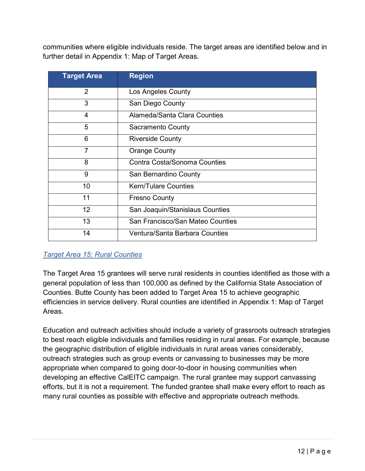communities where eligible individuals reside. The target areas are identified below and in further detail in Appendix 1: Map of Target Areas.

| <b>Target Area</b> | <b>Region</b>                    |
|--------------------|----------------------------------|
| $\overline{2}$     | Los Angeles County               |
| 3                  | San Diego County                 |
| $\overline{4}$     | Alameda/Santa Clara Counties     |
| 5                  | <b>Sacramento County</b>         |
| 6                  | <b>Riverside County</b>          |
| 7                  | <b>Orange County</b>             |
| 8                  | Contra Costa/Sonoma Counties     |
| 9                  | San Bernardino County            |
| 10                 | <b>Kern/Tulare Counties</b>      |
| 11                 | <b>Fresno County</b>             |
| 12                 | San Joaquin/Stanislaus Counties  |
| 13                 | San Francisco/San Mateo Counties |
| 14                 | Ventura/Santa Barbara Counties   |

## *Target Area 15: Rural Counties*

 efficiencies in service delivery. Rural counties are identified in Appendix 1: Map of Target The Target Area 15 grantees will serve rural residents in counties identified as those with a general population of less than 100,000 as defined by the California State Association of Counties. Butte County has been added to Target Area 15 to achieve geographic Areas.

 appropriate when compared to going door-to-door in housing communities when Education and outreach activities should include a variety of grassroots outreach strategies to best reach eligible individuals and families residing in rural areas. For example, because the geographic distribution of eligible individuals in rural areas varies considerably, outreach strategies such as group events or canvassing to businesses may be more developing an effective CalEITC campaign. The rural grantee may support canvassing efforts, but it is not a requirement. The funded grantee shall make every effort to reach as many rural counties as possible with effective and appropriate outreach methods.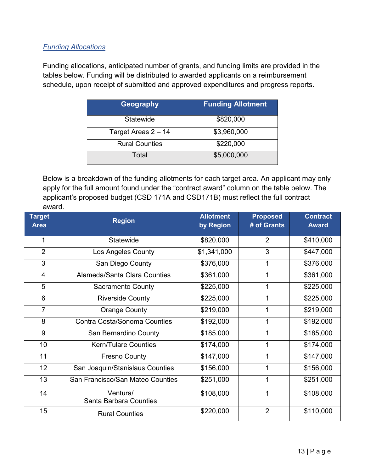## *Funding Allocations*

 Funding allocations, anticipated number of grants, and funding limits are provided in the tables below. Funding will be distributed to awarded applicants on a reimbursement schedule, upon receipt of submitted and approved expenditures and progress reports.

| Geography             | <b>Funding Allotment</b> |
|-----------------------|--------------------------|
| Statewide             | \$820,000                |
| Target Areas 2 - 14   | \$3,960,000              |
| <b>Rural Counties</b> | \$220,000                |
| Total                 | \$5,000,000              |

 applicant's proposed budget (CSD 171A and CSD171B) must reflect the full contract Below is a breakdown of the funding allotments for each target area. An applicant may only apply for the full amount found under the "contract award" column on the table below. The award.

| <b>Target</b><br><b>Area</b> | <b>Region</b>                       | <b>Allotment</b><br>by Region | <b>Proposed</b><br># of Grants | <b>Contract</b><br><b>Award</b> |
|------------------------------|-------------------------------------|-------------------------------|--------------------------------|---------------------------------|
| 1                            | Statewide                           | \$820,000                     | $\overline{2}$                 | \$410,000                       |
| 2                            | Los Angeles County                  | \$1,341,000                   | 3                              | \$447,000                       |
| 3                            | San Diego County                    | \$376,000                     | 1                              | \$376,000                       |
| 4                            | Alameda/Santa Clara Counties        | \$361,000                     | 1                              | \$361,000                       |
| 5                            | <b>Sacramento County</b>            | \$225,000                     | 1                              | \$225,000                       |
| 6                            | <b>Riverside County</b>             | \$225,000                     | 1                              | \$225,000                       |
| $\overline{7}$               | <b>Orange County</b>                | \$219,000                     | 1                              | \$219,000                       |
| 8                            | <b>Contra Costa/Sonoma Counties</b> | \$192,000                     | 1                              | \$192,000                       |
| 9                            | San Bernardino County               | \$185,000                     |                                | \$185,000                       |
| 10                           | <b>Kern/Tulare Counties</b>         | \$174,000                     | 1                              | \$174,000                       |
| 11                           | <b>Fresno County</b>                | \$147,000                     | 1                              | \$147,000                       |
| 12                           | San Joaquin/Stanislaus Counties     | \$156,000                     | 1                              | \$156,000                       |
| 13                           | San Francisco/San Mateo Counties    | \$251,000                     | 1                              | \$251,000                       |
| 14                           | Ventura/<br>Santa Barbara Counties  | \$108,000                     |                                | \$108,000                       |
| 15                           | <b>Rural Counties</b>               | \$220,000                     | $\overline{2}$                 | \$110,000                       |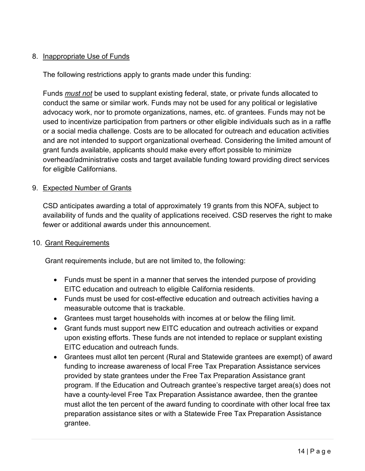## <span id="page-13-0"></span>8. Inappropriate Use of Funds

The following restrictions apply to grants made under this funding:

 conduct the same or similar work. Funds may not be used for any political or legislative used to incentivize participation from partners or other eligible individuals such as in a raffle or a social media challenge. Costs are to be allocated for outreach and education activities and are not intended to support organizational overhead. Considering the limited amount of grant funds available, applicants should make every effort possible to minimize Funds *must not* be used to supplant existing federal, state, or private funds allocated to advocacy work, nor to promote organizations, names, etc. of grantees. Funds may not be overhead/administrative costs and target available funding toward providing direct services for eligible Californians.

#### 9. Expected Number of Grants

 availability of funds and the quality of applications received. CSD reserves the right to make CSD anticipates awarding a total of approximately 19 grants from this NOFA, subject to fewer or additional awards under this announcement.

#### 10. Grant Requirements

Grant requirements include, but are not limited to, the following:

- Funds must be spent in a manner that serves the intended purpose of providing EITC education and outreach to eligible California residents.
- • Funds must be used for cost-effective education and outreach activities having a measurable outcome that is trackable.
- Grantees must target households with incomes at or below the filing limit.
- EITC education and outreach funds. • Grant funds must support new EITC education and outreach activities or expand upon existing efforts. These funds are not intended to replace or supplant existing
- program. If the Education and Outreach grantee's respective target area(s) does not • Grantees must allot ten percent (Rural and Statewide grantees are exempt) of award funding to increase awareness of local Free Tax Preparation Assistance services provided by state grantees under the Free Tax Preparation Assistance grant have a county-level Free Tax Preparation Assistance awardee, then the grantee must allot the ten percent of the award funding to coordinate with other local free tax preparation assistance sites or with a Statewide Free Tax Preparation Assistance grantee.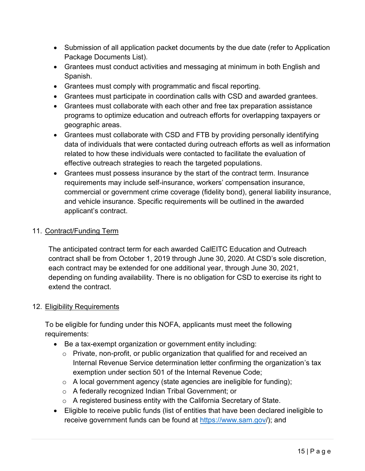- <span id="page-14-0"></span> • Submission of all application packet documents by the due date (refer to Application Package Documents List).
- Grantees must conduct activities and messaging at minimum in both English and Spanish.
- Grantees must comply with programmatic and fiscal reporting.
- Grantees must participate in coordination calls with CSD and awarded grantees.
- • Grantees must collaborate with each other and free tax preparation assistance programs to optimize education and outreach efforts for overlapping taxpayers or geographic areas.
- related to how these individuals were contacted to facilitate the evaluation of • Grantees must collaborate with CSD and FTB by providing personally identifying data of individuals that were contacted during outreach efforts as well as information effective outreach strategies to reach the targeted populations.
- Grantees must possess insurance by the start of the contract term. Insurance requirements may include self-insurance, workers' compensation insurance, commercial or government crime coverage (fidelity bond), general liability insurance, and vehicle insurance. Specific requirements will be outlined in the awarded applicant's contract.

## 11. Contract/Funding Term

 The anticipated contract term for each awarded CalEITC Education and Outreach contract shall be from October 1, 2019 through June 30, 2020. At CSD's sole discretion, depending on funding availability. There is no obligation for CSD to exercise its right to each contract may be extended for one additional year, through June 30, 2021, extend the contract.

## 12. Eligibility Requirements

 To be eligible for funding under this NOFA, applicants must meet the following requirements:

- Be a tax-exempt organization or government entity including:
	- exemption under section 501 of the Internal Revenue Code;  $\circ$  Private, non-profit, or public organization that qualified for and received an Internal Revenue Service determination letter confirming the organization's tax
	- $\circ$  A local government agency (state agencies are ineligible for funding);
	- $\circ$  A federally recognized Indian Tribal Government; or
	- $\circ$  A registered business entity with the California Secretary of State.
- receive government funds can be found at <u>https://www.sam.gov</u>/); and • Eligible to receive public funds (list of entities that have been declared ineligible to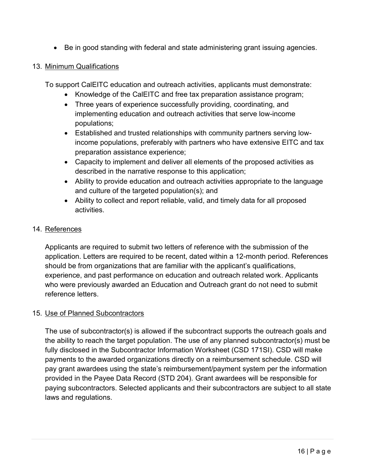<span id="page-15-0"></span>• Be in good standing with federal and state administering grant issuing agencies.

#### 13. Minimum Qualifications

To support CalEITC education and outreach activities, applicants must demonstrate:

- Knowledge of the CalEITC and free tax preparation assistance program;
- Three years of experience successfully providing, coordinating, and implementing education and outreach activities that serve low-income populations;
- Established and trusted relationships with community partners serving lowincome populations, preferably with partners who have extensive EITC and tax preparation assistance experience;
- • Capacity to implement and deliver all elements of the proposed activities as described in the narrative response to this application;
- Ability to provide education and outreach activities appropriate to the language and culture of the targeted population(s); and
- Ability to collect and report reliable, valid, and timely data for all proposed activities.

#### 14. References

 experience, and past performance on education and outreach related work. Applicants Applicants are required to submit two letters of reference with the submission of the application. Letters are required to be recent, dated within a 12-month period. References should be from organizations that are familiar with the applicant's qualifications, who were previously awarded an Education and Outreach grant do not need to submit reference letters.

#### 15. Use of Planned Subcontractors

The use of subcontractor(s) is allowed if the subcontract supports the outreach goals and the ability to reach the target population. The use of any planned subcontractor(s) must be fully disclosed in the Subcontractor Information Worksheet (CSD 171SI). CSD will make payments to the awarded organizations directly on a reimbursement schedule. CSD will pay grant awardees using the state's reimbursement/payment system per the information provided in the Payee Data Record (STD 204). Grant awardees will be responsible for paying subcontractors. Selected applicants and their subcontractors are subject to all state laws and regulations.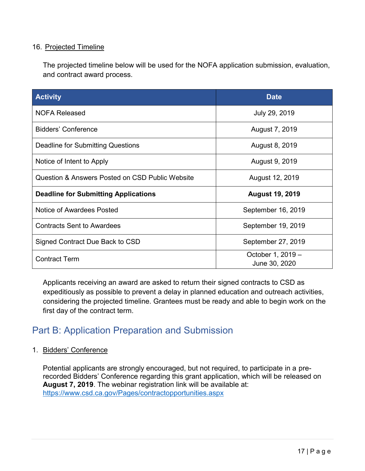#### <span id="page-16-0"></span>16. Projected Timeline

The projected timeline below will be used for the NOFA application submission, evaluation, and contract award process.

| <b>Activity</b>                                 | <b>Date</b>                        |  |
|-------------------------------------------------|------------------------------------|--|
| <b>NOFA Released</b>                            | July 29, 2019                      |  |
| Bidders' Conference                             | August 7, 2019                     |  |
| Deadline for Submitting Questions               | August 8, 2019                     |  |
| Notice of Intent to Apply                       | August 9, 2019                     |  |
| Question & Answers Posted on CSD Public Website | August 12, 2019                    |  |
| <b>Deadline for Submitting Applications</b>     | <b>August 19, 2019</b>             |  |
| Notice of Awardees Posted                       | September 16, 2019                 |  |
| <b>Contracts Sent to Awardees</b>               | September 19, 2019                 |  |
| Signed Contract Due Back to CSD                 | September 27, 2019                 |  |
| <b>Contract Term</b>                            | October 1, 2019 -<br>June 30, 2020 |  |

first day of the contract term. Applicants receiving an award are asked to return their signed contracts to CSD as expeditiously as possible to prevent a delay in planned education and outreach activities, considering the projected timeline. Grantees must be ready and able to begin work on the

## Part B: Application Preparation and Submission

1. Bidders' Conference

 Potential applicants are strongly encouraged, but not required, to participate in a prerecorded Bidders' Conference regarding this grant application, which will be released on **August 7, 2019**. The webinar registration link will be available at: <https://www.csd.ca.gov/Pages/contractopportunities.aspx>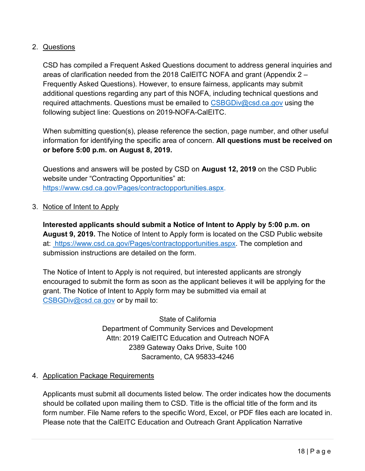## <span id="page-17-0"></span>2. Questions

 areas of clarification needed from the 2018 CalEITC NOFA and grant (Appendix 2 – required attachments. Questions must be emailed to <u>CSBGDiv@csd.ca.gov</u> using the CSD has compiled a Frequent Asked Questions document to address general inquiries and Frequently Asked Questions). However, to ensure fairness, applicants may submit additional questions regarding any part of this NOFA, including technical questions and following subject line: Questions on 2019-NOFA-CalEITC.

When submitting question(s), please reference the section, page number, and other useful information for identifying the specific area of concern. **All questions must be received on or before 5:00 p.m. on August 8, 2019.**

 Questions and answers will be posted by CSD on **August 12, 2019** on the CSD Public website under "Contracting Opportunities" at: [https://www.csd.ca.gov/Pages/contractopportunities.aspx.](https://www.csd.ca.gov/Pages/contractopportunities.aspx)

3. Notice of Intent to Apply

**Interested applicants should submit a Notice of Intent to Apply by 5:00 p.m. on August 9, 2019.** The Notice of Intent to Apply form is located on the CSD Public website at: [https://www.csd.ca.gov/Pages/contractopportunities.aspx.](https://www.csd.ca.gov/Pages/contractopportunities.aspx) The completion and submission instructions are detailed on the form.

 encouraged to submit the form as soon as the applicant believes it will be applying for the grant. The Notice of Intent to Apply form may be submitted via email at The Notice of Intent to Apply is not required, but interested applicants are strongly [CSBGDiv@csd.ca.gov](mailto:CSBGDiv@csd.ca.gov) or by mail to:

> State of California Department of Community Services and Development Attn: 2019 CalEITC Education and Outreach NOFA 2389 Gateway Oaks Drive, Suite 100 Sacramento, CA 95833-4246

## 4. Application Package Requirements

 should be collated upon mailing them to CSD. Title is the official title of the form and its Applicants must submit all documents listed below. The order indicates how the documents form number. File Name refers to the specific Word, Excel, or PDF files each are located in. Please note that the CalEITC Education and Outreach Grant Application Narrative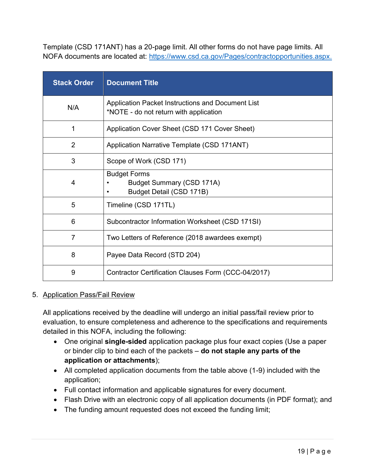<span id="page-18-0"></span>Template (CSD 171ANT) has a 20-page limit. All other forms do not have page limits. All NOFA documents are located at: [https://www.csd.ca.gov/Pages/contractopportunities.aspx.](https://www.csd.ca.gov/Pages/contractopportunities.aspx) 

| <b>Stack Order</b> | <b>Document Title</b>                                                                       |
|--------------------|---------------------------------------------------------------------------------------------|
| N/A                | Application Packet Instructions and Document List<br>*NOTE - do not return with application |
|                    | Application Cover Sheet (CSD 171 Cover Sheet)                                               |
| $\overline{2}$     | Application Narrative Template (CSD 171ANT)                                                 |
| 3                  | Scope of Work (CSD 171)                                                                     |
| 4                  | <b>Budget Forms</b><br>Budget Summary (CSD 171A)<br>Budget Detail (CSD 171B)                |
| 5                  | Timeline (CSD 171TL)                                                                        |
| 6                  | Subcontractor Information Worksheet (CSD 171SI)                                             |
| $\overline{7}$     | Two Letters of Reference (2018 awardees exempt)                                             |
| 8                  | Payee Data Record (STD 204)                                                                 |
| 9                  | Contractor Certification Clauses Form (CCC-04/2017)                                         |

#### 5. Application Pass/Fail Review

All applications received by the deadline will undergo an initial pass/fail review prior to evaluation, to ensure completeness and adherence to the specifications and requirements detailed in this NOFA, including the following:

- One original **single-sided** application package plus four exact copies (Use a paper or binder clip to bind each of the packets – **do not staple any parts of the application or attachments**);
- All completed application documents from the table above (1-9) included with the application;
- Full contact information and applicable signatures for every document.
- Flash Drive with an electronic copy of all application documents (in PDF format); and
- The funding amount requested does not exceed the funding limit;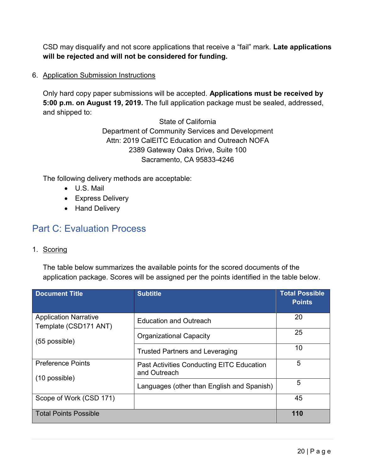<span id="page-19-0"></span>CSD may disqualify and not score applications that receive a "fail" mark. **Late applications will be rejected and will not be considered for funding.** 

6. Application Submission Instructions

Only hard copy paper submissions will be accepted. **Applications must be received by 5:00 p.m. on August 19, 2019.** The full application package must be sealed, addressed, and shipped to:

> State of California Department of Community Services and Development Attn: 2019 CalEITC Education and Outreach NOFA 2389 Gateway Oaks Drive, Suite 100 Sacramento, CA 95833-4246

The following delivery methods are acceptable:

- U.S. Mail
- Express Delivery
- Hand Delivery

## Part C: Evaluation Process

1. Scoring

The table below summarizes the available points for the scored documents of the application package. Scores will be assigned per the points identified in the table below.

| <b>Document Title</b>                                 | <b>Subtitle</b>                                                  | <b>Total Possible</b><br><b>Points</b> |
|-------------------------------------------------------|------------------------------------------------------------------|----------------------------------------|
| <b>Application Narrative</b><br>Template (CSD171 ANT) | <b>Education and Outreach</b>                                    | 20                                     |
| $(55$ possible)                                       | <b>Organizational Capacity</b>                                   | 25                                     |
|                                                       | <b>Trusted Partners and Leveraging</b>                           | 10                                     |
| <b>Preference Points</b>                              | <b>Past Activities Conducting EITC Education</b><br>and Outreach | 5                                      |
| (10 possible)                                         | Languages (other than English and Spanish)                       | 5                                      |
| Scope of Work (CSD 171)                               |                                                                  | 45                                     |
| <b>Total Points Possible</b>                          |                                                                  | 110                                    |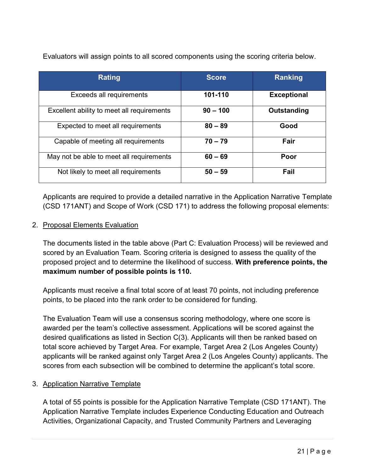| <b>Rating</b>                              | <b>Score</b> | <b>Ranking</b>     |
|--------------------------------------------|--------------|--------------------|
| Exceeds all requirements                   | 101-110      | <b>Exceptional</b> |
| Excellent ability to meet all requirements | $90 - 100$   | Outstanding        |
| Expected to meet all requirements          | $80 - 89$    | Good               |
| Capable of meeting all requirements        | $70 - 79$    | Fair               |
| May not be able to meet all requirements   | $60 - 69$    | Poor               |
| Not likely to meet all requirements        | $50 - 59$    | Fail               |

<span id="page-20-0"></span>Evaluators will assign points to all scored components using the scoring criteria below.

 Applicants are required to provide a detailed narrative in the Application Narrative Template (CSD 171ANT) and Scope of Work (CSD 171) to address the following proposal elements:

#### 2. Proposal Elements Evaluation

 scored by an Evaluation Team. Scoring criteria is designed to assess the quality of the The documents listed in the table above (Part C: Evaluation Process) will be reviewed and proposed project and to determine the likelihood of success. **With preference points, the maximum number of possible points is 110.**

 points, to be placed into the rank order to be considered for funding. Applicants must receive a final total score of at least 70 points, not including preference

 The Evaluation Team will use a consensus scoring methodology, where one score is applicants will be ranked against only Target Area 2 (Los Angeles County) applicants. The awarded per the team's collective assessment. Applications will be scored against the desired qualifications as listed in Section C(3). Applicants will then be ranked based on total score achieved by Target Area. For example, Target Area 2 (Los Angeles County) scores from each subsection will be combined to determine the applicant's total score.

#### 3. Application Narrative Template

A total of 55 points is possible for the Application Narrative Template (CSD 171ANT). The Application Narrative Template includes Experience Conducting Education and Outreach Activities, Organizational Capacity, and Trusted Community Partners and Leveraging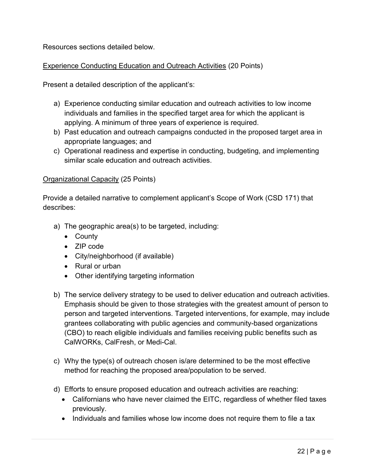Resources sections detailed below.

### Experience Conducting Education and Outreach Activities (20 Points)

Present a detailed description of the applicant's:

- applying. A minimum of three years of experience is required. a) Experience conducting similar education and outreach activities to low income individuals and families in the specified target area for which the applicant is
- b) Past education and outreach campaigns conducted in the proposed target area in appropriate languages; and
- c) Operational readiness and expertise in conducting, budgeting, and implementing similar scale education and outreach activities.

#### Organizational Capacity (25 Points)

Provide a detailed narrative to complement applicant's Scope of Work (CSD 171) that describes:

- a) The geographic area(s) to be targeted, including:
	- County
	- ZIP code
	- City/neighborhood (if available)
	- Rural or urban
	- Other identifying targeting information
- b) The service delivery strategy to be used to deliver education and outreach activities. Emphasis should be given to those strategies with the greatest amount of person to person and targeted interventions. Targeted interventions, for example, may include grantees collaborating with public agencies and community-based organizations (CBO) to reach eligible individuals and families receiving public benefits such as CalWORKs, CalFresh, or Medi-Cal.
- method for reaching the proposed area/population to be served. c) Why the type(s) of outreach chosen is/are determined to be the most effective
- d) Efforts to ensure proposed education and outreach activities are reaching:
	- Californians who have never claimed the EITC, regardless of whether filed taxes previously.
	- Individuals and families whose low income does not require them to file a tax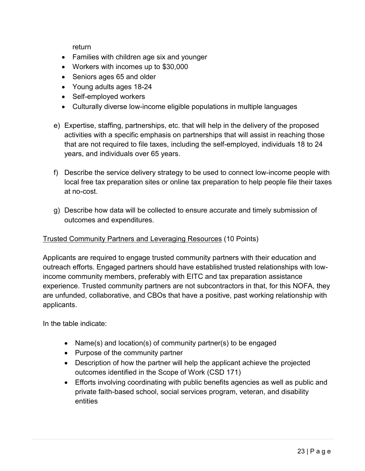return

- Families with children age six and younger
- Workers with incomes up to \$30,000
- Seniors ages 65 and older
- Young adults ages 18-24
- Self-employed workers
- Culturally diverse low-income eligible populations in multiple languages
- e) Expertise, staffing, partnerships, etc. that will help in the delivery of the proposed activities with a specific emphasis on partnerships that will assist in reaching those that are not required to file taxes, including the self-employed, individuals 18 to 24 years, and individuals over 65 years.
- at no-cost. f) Describe the service delivery strategy to be used to connect low-income people with local free tax preparation sites or online tax preparation to help people file their taxes
- g) Describe how data will be collected to ensure accurate and timely submission of outcomes and expenditures.

## Trusted Community Partners and Leveraging Resources (10 Points)

 Applicants are required to engage trusted community partners with their education and outreach efforts. Engaged partners should have established trusted relationships with lowincome community members, preferably with EITC and tax preparation assistance experience. Trusted community partners are not subcontractors in that, for this NOFA, they are unfunded, collaborative, and CBOs that have a positive, past working relationship with applicants.

In the table indicate:

- Name(s) and location(s) of community partner(s) to be engaged
- Purpose of the community partner
- Description of how the partner will help the applicant achieve the projected outcomes identified in the Scope of Work (CSD 171)
- Efforts involving coordinating with public benefits agencies as well as public and private faith-based school, social services program, veteran, and disability entities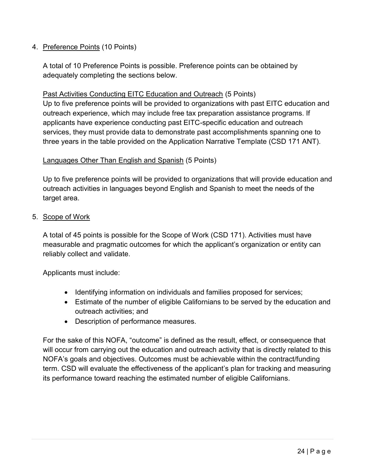## <span id="page-23-0"></span>4. Preference Points (10 Points)

A total of 10 Preference Points is possible. Preference points can be obtained by adequately completing the sections below.

#### Past Activities Conducting EITC Education and Outreach (5 Points)

 Up to five preference points will be provided to organizations with past EITC education and services, they must provide data to demonstrate past accomplishments spanning one to three years in the table provided on the Application Narrative Template (CSD 171 ANT). outreach experience, which may include free tax preparation assistance programs. If applicants have experience conducting past EITC-specific education and outreach

#### Languages Other Than English and Spanish (5 Points)

Up to five preference points will be provided to organizations that will provide education and outreach activities in languages beyond English and Spanish to meet the needs of the target area.

#### 5. Scope of Work

 A total of 45 points is possible for the Scope of Work (CSD 171). Activities must have measurable and pragmatic outcomes for which the applicant's organization or entity can reliably collect and validate.

Applicants must include:

- Identifying information on individuals and families proposed for services;
- • Estimate of the number of eligible Californians to be served by the education and outreach activities; and
- Description of performance measures.

 term. CSD will evaluate the effectiveness of the applicant's plan for tracking and measuring For the sake of this NOFA, "outcome" is defined as the result, effect, or consequence that will occur from carrying out the education and outreach activity that is directly related to this NOFA's goals and objectives. Outcomes must be achievable within the contract/funding its performance toward reaching the estimated number of eligible Californians.